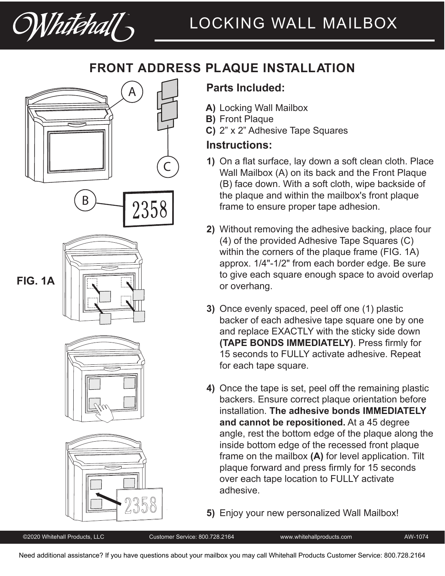Whitehall

# **FRONT ADDRESS PLAQUE INSTALLATION**









# **Parts Included:**

- Locking Wall Mailbox **A)**
- **B)** Front Plaque
- 2" x 2" Adhesive Tape Squares **C)**

## **Instructions:**

- On a flat surface, lay down a soft clean cloth. Place **1)** Wall Mailbox (A) on its back and the Front Plaque (B) face down. With a soft cloth, wipe backside of the plaque and within the mailbox's front plaque frame to ensure proper tape adhesion.
- Without removing the adhesive backing, place four **2)** (4) of the provided Adhesive Tape Squares (C) within the corners of the plaque frame (FIG. 1A) approx. 1/4"-1/2" from each border edge. Be sure to give each square enough space to avoid overlap or overhang.
- Once evenly spaced, peel off one (1) plastic **3)** backer of each adhesive tape square one by one and replace EXACTLY with the sticky side down **(TAPE BONDS IMMEDIATELY)**. Press firmly for 15 seconds to FULLY activate adhesive. Repeat for each tape square.
- Once the tape is set, peel off the remaining plastic **4)** backers. Ensure correct plaque orientation before installation. **The adhesive bonds IMMEDIATELY and cannot be repositioned.** At a 45 degree angle, rest the bottom edge of the plaque along the inside bottom edge of the recessed front plaque frame on the mailbox **(A)** for level application. Tilt plaque forward and press firmly for 15 seconds over each tape location to FULLY activate adhesive.

Enjoy your new personalized Wall Mailbox! **5)**

# **FIG. 1A**

©2020 Whitehall Products, LLC Customer Service: 800.728.2164 www.whitehallproducts.com AW-1074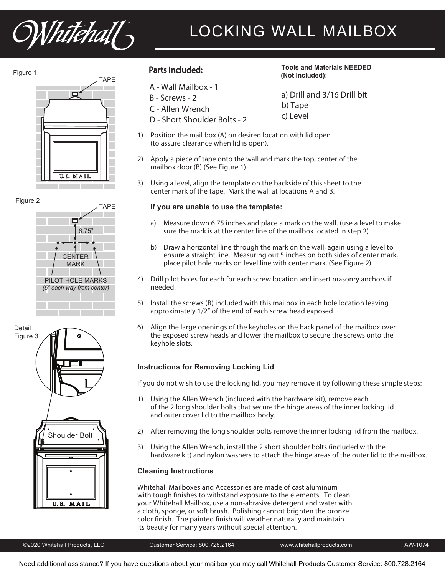Whitehall

# LOCKING WALL MAILBOX









A - Wall Mailbox - 1

- B Screws 2
- C Allen Wrench
- D Short Shoulder Bolts 2
- Parts Included: **Tools and Materials NEEDED (Not Included):**
	- a) Drill and 3/16 Drill bit b) Tape c) Level
- 1) Position the mail box (A) on desired location with lid open (to assure clearance when lid is open).
- 2) Apply a piece of tape onto the wall and mark the top, center of the mailbox door (B) (See Figure 1)
- 3) Using a level, align the template on the backside of this sheet to the center mark of the tape. Mark the wall at locations A and B.

### **If you are unable to use the template:**

- a) Measure down 6.75 inches and place a mark on the wall. (use a level to make sure the mark is at the center line of the mailbox located in step 2)
- b) Draw a horizontal line through the mark on the wall, again using a level to ensure a straight line. Measuring out 5 inches on both sides of center mark, place pilot hole marks on level line with center mark. (See Figure 2)
- 4) Drill pilot holes for each for each screw location and insert masonry anchors if needed.
- 5) Install the screws (B) included with this mailbox in each hole location leaving approximately 1/2" of the end of each screw head exposed.
- 6) Align the large openings of the keyholes on the back panel of the mailbox over the exposed screw heads and lower the mailbox to secure the screws onto the keyhole slots.

### **Instructions for Removing Locking Lid**

If you do not wish to use the locking lid, you may remove it by following these simple steps:

- 1) Using the Allen Wrench (included with the hardware kit), remove each of the 2 long shoulder bolts that secure the hinge areas of the inner locking lid and outer cover lid to the mailbox body.
- 2) After removing the long shoulder bolts remove the inner locking lid from the mailbox.
- 3) Using the Allen Wrench, install the 2 short shoulder bolts (included with the hardware kit) and nylon washers to attach the hinge areas of the outer lid to the mailbox.

### **Cleaning Instructions**

Whitehall Mailboxes and Accessories are made of cast aluminum with tough finishes to withstand exposure to the elements. To clean your Whitehall Mailbox, use a non-abrasive detergent and water with a cloth, sponge, or soft brush. Polishing cannot brighten the bronze color finish. The painted finish will weather naturally and maintain its beauty for many years without special attention.

©2020 Whitehall Products, LLC Customer Service: 800.728.2164 www.whitehallproducts.com AW-1074